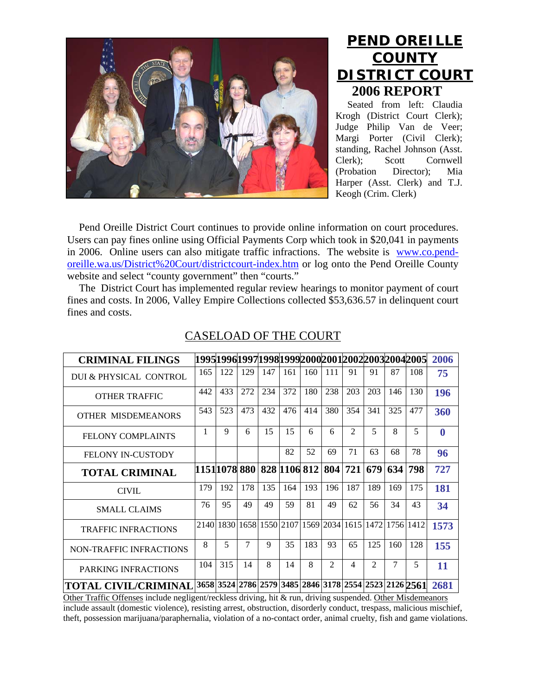

## **PEND OREILLE COUNTY DISTRICT COURT 2006 REPORT**

Seated from left: Claudia Krogh (District Court Clerk); Judge Philip Van de Veer; Margi Porter (Civil Clerk); standing, Rachel Johnson (Asst. Clerk); Scott Cornwell (Probation Director); Mia Harper (Asst. Clerk) and T.J. Keogh (Crim. Clerk)

Pend Oreille District Court continues to provide online information on court procedures. Users can pay fines online using Official Payments Corp which took in \$20,041 in payments in 2006. Online users can also mitigate traffic infractions. The website is [www.co.pend](http://www.co.pend-oreille.wa.us/District%20Court/districtcourt-index.htm)[oreille.wa.us/District%20Court/districtcourt-index.htm](http://www.co.pend-oreille.wa.us/District%20Court/districtcourt-index.htm) or log onto the Pend Oreille County website and select "county government" then "courts."

The District Court has implemented regular review hearings to monitor payment of court fines and costs. In 2006, Valley Empire Collections collected \$53,636.57 in delinquent court fines and costs.

| <b>CRIMINAL FILINGS</b>        |                                |     |        |     |     |                                                                            |                |                |                |     | 19951996199719981999200020012002200320042005 | 2006     |
|--------------------------------|--------------------------------|-----|--------|-----|-----|----------------------------------------------------------------------------|----------------|----------------|----------------|-----|----------------------------------------------|----------|
| DUI & PHYSICAL CONTROL         | 165                            | 122 | 129    | 147 | 161 | 160                                                                        | 111            | 91             | 91             | 87  | 108                                          | 75       |
| <b>OTHER TRAFFIC</b>           | 442                            | 433 | 272    | 234 | 372 | 180                                                                        | 238            | 203            | 203            | 146 | 130                                          | 196      |
| OTHER MISDEMEANORS             | 543                            | 523 | 473    | 432 | 476 | 414                                                                        | 380            | 354            | 341            | 325 | 477                                          | 360      |
| <b>FELONY COMPLAINTS</b>       | 1                              | 9   | 6      | 15  | 15  | 6                                                                          | 6              | $\mathfrak{D}$ | 5              | 8   | 5                                            | $\bf{0}$ |
| <b>FELONY IN-CUSTODY</b>       |                                |     |        |     | 82  | 52                                                                         | 69             | 71             | 63             | 68  | 78                                           | 96       |
| <b>TOTAL CRIMINAL</b>          | 1151 1078  880   828  1106 812 |     |        |     |     |                                                                            |                | 804 721        | 679            | 634 | 798                                          | 727      |
| <b>CIVIL</b>                   | 179                            | 192 | 178    | 135 | 164 | 193                                                                        | 196            | 187            | 189            | 169 | 175                                          | 181      |
| <b>SMALL CLAIMS</b>            | 76                             | 95  | 49     | 49  | 59  | 81                                                                         | 49             | 62             | 56             | 34  | 43                                           | 34       |
| <b>TRAFFIC INFRACTIONS</b>     |                                |     |        |     |     | 2140   1830   1658   1550   2107   1569   2034   1615   1472   1756   1412 |                |                |                |     |                                              | 1573     |
| <b>NON-TRAFFIC INFRACTIONS</b> | 8                              | 5   | $\tau$ | 9   | 35  | 183                                                                        | 93             | 65             | 125            | 160 | 128                                          | 155      |
| PARKING INFRACTIONS            | 104                            | 315 | 14     | 8   | 14  | 8                                                                          | $\mathfrak{D}$ | 4              | $\mathfrak{D}$ | 7   | 5                                            | 11       |
| <b>TOTAL CIVIL/CRIMINAL</b>    |                                |     |        |     |     | 3658 3524 2786 2579 3485 2846 3178 2554 2523 2126 2561                     |                |                |                |     |                                              | 2681     |

## CASELOAD OF THE COURT

Other Traffic Offenses include negligent/reckless driving, hit & run, driving suspended. Other Misdemeanors include assault (domestic violence), resisting arrest, obstruction, disorderly conduct, trespass, malicious mischief, theft, possession marijuana/paraphernalia, violation of a no-contact order, animal cruelty, fish and game violations.